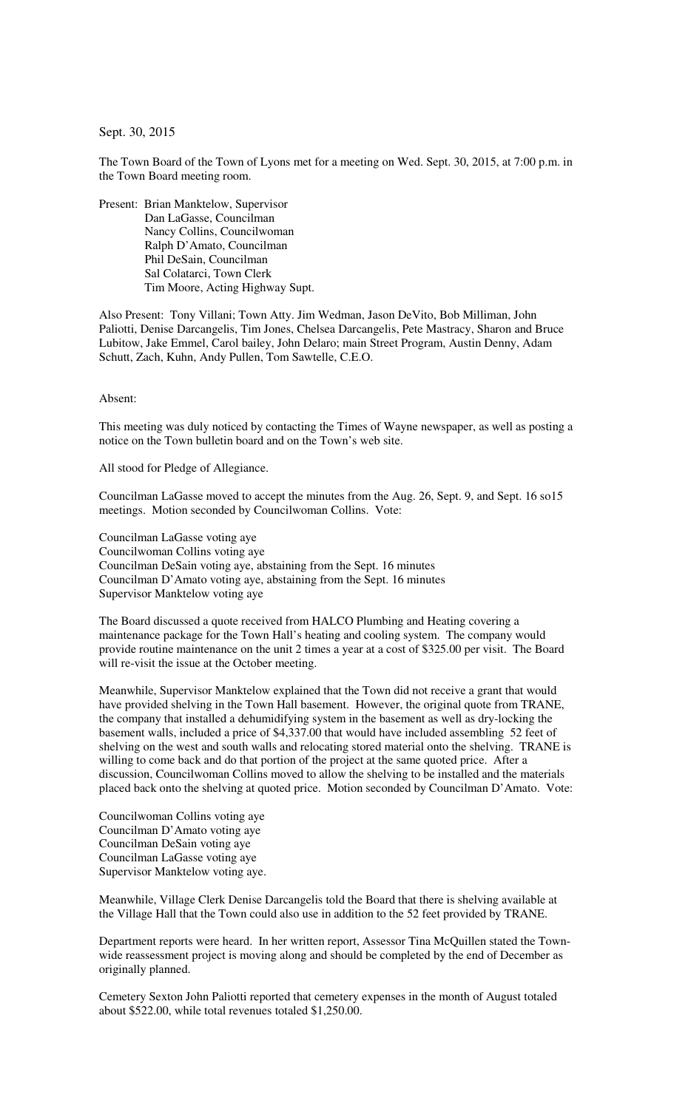## Sept. 30, 2015

The Town Board of the Town of Lyons met for a meeting on Wed. Sept. 30, 2015, at 7:00 p.m. in the Town Board meeting room.

Present: Brian Manktelow, Supervisor Dan LaGasse, Councilman Nancy Collins, Councilwoman Ralph D'Amato, Councilman Phil DeSain, Councilman Sal Colatarci, Town Clerk Tim Moore, Acting Highway Supt.

Also Present: Tony Villani; Town Atty. Jim Wedman, Jason DeVito, Bob Milliman, John Paliotti, Denise Darcangelis, Tim Jones, Chelsea Darcangelis, Pete Mastracy, Sharon and Bruce Lubitow, Jake Emmel, Carol bailey, John Delaro; main Street Program, Austin Denny, Adam Schutt, Zach, Kuhn, Andy Pullen, Tom Sawtelle, C.E.O.

## Absent:

This meeting was duly noticed by contacting the Times of Wayne newspaper, as well as posting a notice on the Town bulletin board and on the Town's web site.

All stood for Pledge of Allegiance.

Councilman LaGasse moved to accept the minutes from the Aug. 26, Sept. 9, and Sept. 16 so15 meetings. Motion seconded by Councilwoman Collins. Vote:

Councilman LaGasse voting aye Councilwoman Collins voting aye Councilman DeSain voting aye, abstaining from the Sept. 16 minutes Councilman D'Amato voting aye, abstaining from the Sept. 16 minutes Supervisor Manktelow voting aye

The Board discussed a quote received from HALCO Plumbing and Heating covering a maintenance package for the Town Hall's heating and cooling system. The company would provide routine maintenance on the unit 2 times a year at a cost of \$325.00 per visit. The Board will re-visit the issue at the October meeting.

Meanwhile, Supervisor Manktelow explained that the Town did not receive a grant that would have provided shelving in the Town Hall basement. However, the original quote from TRANE, the company that installed a dehumidifying system in the basement as well as dry-locking the basement walls, included a price of \$4,337.00 that would have included assembling 52 feet of shelving on the west and south walls and relocating stored material onto the shelving. TRANE is willing to come back and do that portion of the project at the same quoted price. After a discussion, Councilwoman Collins moved to allow the shelving to be installed and the materials placed back onto the shelving at quoted price. Motion seconded by Councilman D'Amato. Vote:

Councilwoman Collins voting aye Councilman D'Amato voting aye Councilman DeSain voting aye Councilman LaGasse voting aye Supervisor Manktelow voting aye.

Meanwhile, Village Clerk Denise Darcangelis told the Board that there is shelving available at the Village Hall that the Town could also use in addition to the 52 feet provided by TRANE.

Department reports were heard. In her written report, Assessor Tina McQuillen stated the Townwide reassessment project is moving along and should be completed by the end of December as originally planned.

Cemetery Sexton John Paliotti reported that cemetery expenses in the month of August totaled about \$522.00, while total revenues totaled \$1,250.00.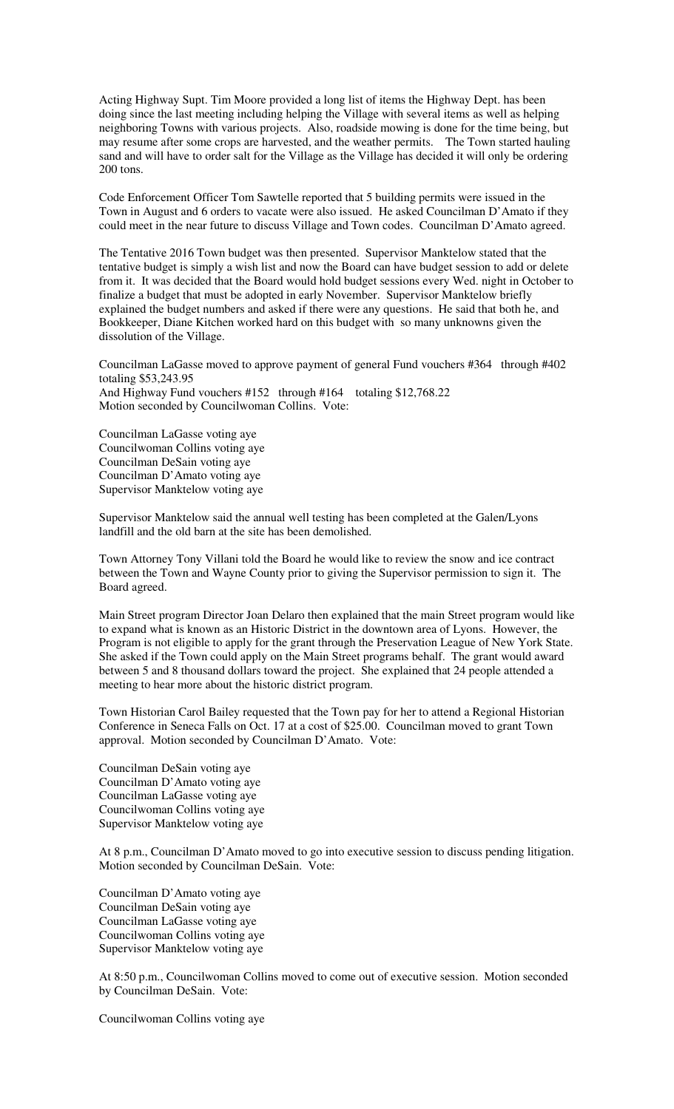Acting Highway Supt. Tim Moore provided a long list of items the Highway Dept. has been doing since the last meeting including helping the Village with several items as well as helping neighboring Towns with various projects. Also, roadside mowing is done for the time being, but may resume after some crops are harvested, and the weather permits. The Town started hauling sand and will have to order salt for the Village as the Village has decided it will only be ordering 200 tons.

Code Enforcement Officer Tom Sawtelle reported that 5 building permits were issued in the Town in August and 6 orders to vacate were also issued. He asked Councilman D'Amato if they could meet in the near future to discuss Village and Town codes. Councilman D'Amato agreed.

The Tentative 2016 Town budget was then presented. Supervisor Manktelow stated that the tentative budget is simply a wish list and now the Board can have budget session to add or delete from it. It was decided that the Board would hold budget sessions every Wed. night in October to finalize a budget that must be adopted in early November. Supervisor Manktelow briefly explained the budget numbers and asked if there were any questions. He said that both he, and Bookkeeper, Diane Kitchen worked hard on this budget with so many unknowns given the dissolution of the Village.

Councilman LaGasse moved to approve payment of general Fund vouchers #364 through #402 totaling \$53,243.95 And Highway Fund vouchers #152 through #164 totaling \$12,768.22 Motion seconded by Councilwoman Collins. Vote:

Councilman LaGasse voting aye Councilwoman Collins voting aye Councilman DeSain voting aye Councilman D'Amato voting aye Supervisor Manktelow voting aye

Supervisor Manktelow said the annual well testing has been completed at the Galen/Lyons landfill and the old barn at the site has been demolished.

Town Attorney Tony Villani told the Board he would like to review the snow and ice contract between the Town and Wayne County prior to giving the Supervisor permission to sign it. The Board agreed.

Main Street program Director Joan Delaro then explained that the main Street program would like to expand what is known as an Historic District in the downtown area of Lyons. However, the Program is not eligible to apply for the grant through the Preservation League of New York State. She asked if the Town could apply on the Main Street programs behalf. The grant would award between 5 and 8 thousand dollars toward the project. She explained that 24 people attended a meeting to hear more about the historic district program.

Town Historian Carol Bailey requested that the Town pay for her to attend a Regional Historian Conference in Seneca Falls on Oct. 17 at a cost of \$25.00. Councilman moved to grant Town approval. Motion seconded by Councilman D'Amato. Vote:

Councilman DeSain voting aye Councilman D'Amato voting aye Councilman LaGasse voting aye Councilwoman Collins voting aye Supervisor Manktelow voting aye

At 8 p.m., Councilman D'Amato moved to go into executive session to discuss pending litigation. Motion seconded by Councilman DeSain. Vote:

Councilman D'Amato voting aye Councilman DeSain voting aye Councilman LaGasse voting aye Councilwoman Collins voting aye Supervisor Manktelow voting aye

At 8:50 p.m., Councilwoman Collins moved to come out of executive session. Motion seconded by Councilman DeSain. Vote:

Councilwoman Collins voting aye